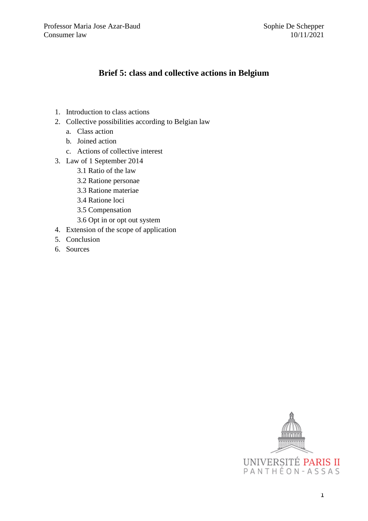# **Brief 5: class and collective actions in Belgium**

- 1. Introduction to class actions
- 2. Collective possibilities according to Belgian law
	- a. Class action
	- b. Joined action
	- c. Actions of collective interest
- 3. Law of 1 September 2014
	- 3.1 Ratio of the law
	- 3.2 Ratione personae
	- 3.3 Ratione materiae
	- 3.4 Ratione loci
	- 3.5 Compensation
	- 3.6 Opt in or opt out system
- 4. Extension of the scope of application
- 5. Conclusion
- 6. Sources

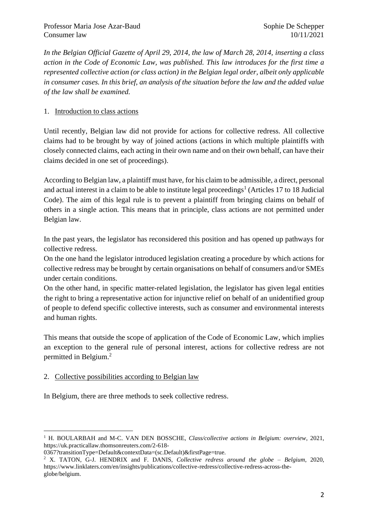*In the Belgian Official Gazette of April 29, 2014, the law of March 28, 2014, inserting a class action in the Code of Economic Law, was published. This law introduces for the first time a represented collective action (or class action) in the Belgian legal order, albeit only applicable in consumer cases. In this brief, an analysis of the situation before the law and the added value of the law shall be examined.* 

# 1. Introduction to class actions

Until recently, Belgian law did not provide for actions for collective redress. All collective claims had to be brought by way of joined actions (actions in which multiple plaintiffs with closely connected claims, each acting in their own name and on their own behalf, can have their claims decided in one set of proceedings).

According to Belgian law, a plaintiff must have, for his claim to be admissible, a direct, personal and actual interest in a claim to be able to institute legal proceedings<sup>1</sup> (Articles 17 to 18 Judicial Code). The aim of this legal rule is to prevent a plaintiff from bringing claims on behalf of others in a single action. This means that in principle, class actions are not permitted under Belgian law.

In the past years, the legislator has reconsidered this position and has opened up pathways for collective redress.

On the one hand the legislator introduced legislation creating a procedure by which actions for collective redress may be brought by certain organisations on behalf of consumers and/or SMEs under certain conditions.

On the other hand, in specific matter-related legislation, the legislator has given legal entities the right to bring a representative action for injunctive relief on behalf of an unidentified group of people to defend specific collective interests, such as consumer and environmental interests and human rights.

This means that outside the scope of application of the Code of Economic Law, which implies an exception to the general rule of personal interest, actions for collective redress are not permitted in Belgium.<sup>2</sup>

#### 2. Collective possibilities according to Belgian law

In Belgium, there are three methods to seek collective redress.

<sup>&</sup>lt;sup>1</sup> H. BOULARBAH and M-C. VAN DEN BOSSCHE, *Class/collective actions in Belgium: overview*, 2021, https://uk.practicallaw.thomsonreuters.com/2-618-

<sup>0367?</sup>transitionType=Default&contextData=(sc.Default)&firstPage=true.

<sup>2</sup> X. TATON, G-J. HENDRIX and F. DANIS, *Collective redress around the globe – Belgium*, 2020, https://www.linklaters.com/en/insights/publications/collective-redress/collective-redress-across-theglobe/belgium.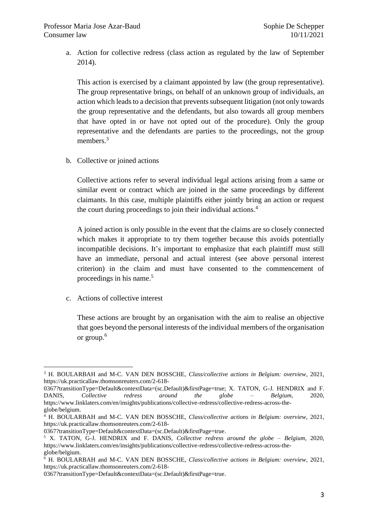a. Action for collective redress (class action as regulated by the law of September 2014).

This action is exercised by a claimant appointed by law (the group representative). The group representative brings, on behalf of an unknown group of individuals, an action which leads to a decision that prevents subsequent litigation (not only towards the group representative and the defendants, but also towards all group members that have opted in or have not opted out of the procedure). Only the group representative and the defendants are parties to the proceedings, not the group members.<sup>3</sup>

b. Collective or joined actions

Collective actions refer to several individual legal actions arising from a same or similar event or contract which are joined in the same proceedings by different claimants. In this case, multiple plaintiffs either jointly bring an action or request the court during proceedings to join their individual actions. 4

A joined action is only possible in the event that the claims are so closely connected which makes it appropriate to try them together because this avoids potentially incompatible decisions. It's important to emphasize that each plaintiff must still have an immediate, personal and actual interest (see above personal interest criterion) in the claim and must have consented to the commencement of proceedings in his name.<sup>5</sup>

c. Actions of collective interest

These actions are brought by an organisation with the aim to realise an objective that goes beyond the personal interests of the individual members of the organisation or group.<sup>6</sup>

<sup>3</sup> H. BOULARBAH and M-C. VAN DEN BOSSCHE, *Class/collective actions in Belgium: overview*, 2021, https://uk.practicallaw.thomsonreuters.com/2-618-

<sup>0367?</sup>transitionType=Default&contextData=(sc.Default)&firstPage=true; X. TATON, G-J. HENDRIX and F. DANIS, *Collective redress around the globe – Belgium*, 2020, https://www.linklaters.com/en/insights/publications/collective-redress/collective-redress-across-theglobe/belgium.

<sup>4</sup> H. BOULARBAH and M-C. VAN DEN BOSSCHE, *Class/collective actions in Belgium: overview*, 2021, [https://uk.practicallaw.thomsonreuters.com/2-618-](https://uk.practicallaw.thomsonreuters.com/2-618-0367?transitionType=Default&contextData=(sc.Default)&firstPage=true)

[<sup>0367?</sup>transitionType=Default&contextData=\(sc.Default\)&firstPage=true.](https://uk.practicallaw.thomsonreuters.com/2-618-0367?transitionType=Default&contextData=(sc.Default)&firstPage=true)

<sup>5</sup> X. TATON, G-J. HENDRIX and F. DANIS, *Collective redress around the globe – Belgium*, 2020, https://www.linklaters.com/en/insights/publications/collective-redress/collective-redress-across-theglobe/belgium.

<sup>6</sup> H. BOULARBAH and M-C. VAN DEN BOSSCHE, *Class/collective actions in Belgium: overview*, 2021, [https://uk.practicallaw.thomsonreuters.com/2-618-](https://uk.practicallaw.thomsonreuters.com/2-618-0367?transitionType=Default&contextData=(sc.Default)&firstPage=true)

[<sup>0367?</sup>transitionType=Default&contextData=\(sc.Default\)&firstPage=true.](https://uk.practicallaw.thomsonreuters.com/2-618-0367?transitionType=Default&contextData=(sc.Default)&firstPage=true)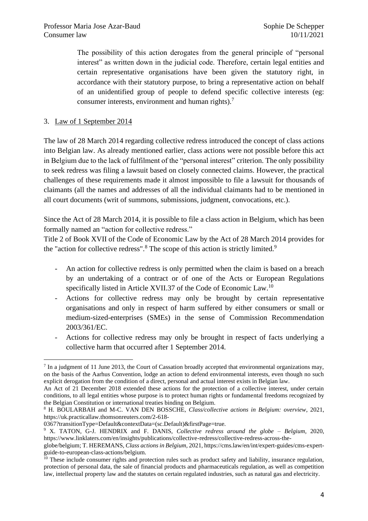The possibility of this action derogates from the general principle of "personal interest" as written down in the judicial code. Therefore, certain legal entities and certain representative organisations have been given the statutory right, in accordance with their statutory purpose, to bring a representative action on behalf of an unidentified group of people to defend specific collective interests (eg: consumer interests, environment and human rights). 7

#### 3. Law of 1 September 2014

The law of 28 March 2014 regarding collective redress introduced the concept of class actions into Belgian law. As already mentioned earlier, class actions were not possible before this act in Belgium due to the lack of fulfilment of the "personal interest" criterion. The only possibility to seek redress was filing a lawsuit based on closely connected claims. However, the practical challenges of these requirements made it almost impossible to file a lawsuit for thousands of claimants (all the names and addresses of all the individual claimants had to be mentioned in all court documents (writ of summons, submissions, judgment, convocations, etc.).

Since the Act of 28 March 2014, it is possible to file a class action in Belgium, which has been formally named an "action for collective redress."

Title 2 of Book XVII of the Code of Economic Law by the Act of 28 March 2014 provides for the "action for collective redress".<sup>8</sup> The scope of this action is strictly limited.<sup>9</sup>

- An action for collective redress is only permitted when the claim is based on a breach by an undertaking of a contract or of one of the Acts or European Regulations specifically listed in Article XVII.37 of the Code of Economic Law.<sup>10</sup>
- Actions for collective redress may only be brought by certain representative organisations and only in respect of harm suffered by either consumers or small or medium-sized-enterprises (SMEs) in the sense of Commission Recommendation 2003/361/EC.
- Actions for collective redress may only be brought in respect of facts underlying a collective harm that occurred after 1 September 2014.

 $<sup>7</sup>$  In a judgment of 11 June 2013, the Court of Cassation broadly accepted that environmental organizations may,</sup> on the basis of the Aarhus Convention, lodge an action to defend environmental interests, even though no such explicit derogation from the condition of a direct, personal and actual interest exists in Belgian law.

An Act of 21 December 2018 extended these actions for the protection of a collective interest, under certain conditions, to all legal entities whose purpose is to protect human rights or fundamental freedoms recognized by the Belgian Constitution or international treaties binding on Belgium.

<sup>8</sup> H. BOULARBAH and M-C. VAN DEN BOSSCHE, *Class/collective actions in Belgium: overview*, 2021, https://uk.practicallaw.thomsonreuters.com/2-618-

<sup>0367?</sup>transitionType=Default&contextData=(sc.Default)&firstPage=true.

<sup>9</sup> X. TATON, G-J. HENDRIX and F. DANIS, *Collective redress around the globe – Belgium*, 2020, [https://www.linklaters.com/en/insights/publications/collective-redress/collective-redress-across-the-](https://www.linklaters.com/en/insights/publications/collective-redress/collective-redress-across-the-globe/belgium)

[globe/belgium;](https://www.linklaters.com/en/insights/publications/collective-redress/collective-redress-across-the-globe/belgium) T. HEREMANS, *Class actions in Belgium,* 2021, https://cms.law/en/int/expert-guides/cms-expertguide-to-european-class-actions/belgium.

 $10$  These include consumer rights and protection rules such as product safety and liability, insurance regulation, protection of personal data, the sale of financial products and pharmaceuticals regulation, as well as competition law, intellectual property law and the statutes on certain regulated industries, such as natural gas and electricity.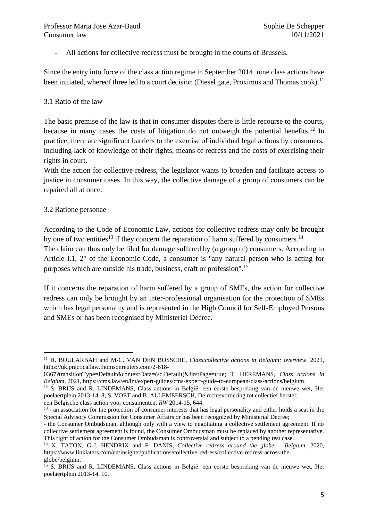- All actions for collective redress must be brought in the courts of Brussels.

Since the entry into force of the class action regime in September 2014, nine class actions have been initiated, whereof three led to a court decision (Diesel gate, Proximus and Thomas cook).<sup>11</sup>

#### 3.1 Ratio of the law

The basic premise of the law is that in consumer disputes there is little recourse to the courts, because in many cases the costs of litigation do not outweigh the potential benefits.<sup>12</sup> In practice, there are significant barriers to the exercise of individual legal actions by consumers, including lack of knowledge of their rights, means of redress and the costs of exercising their rights in court.

With the action for collective redress, the legislator wants to broaden and facilitate access to justice in consumer cases. In this way, the collective damage of a group of consumers can be repaired all at once.

#### 3.2 Ratione personae

According to the Code of Economic Law, actions for collective redress may only be brought by one of two entities<sup>13</sup> if they concern the reparation of harm suffered by consumers.<sup>14</sup>

The claim can thus only be filed for damage suffered by (a group of) consumers. According to Article I.1, 2° of the Economic Code, a consumer is "any natural person who is acting for purposes which are outside his trade, business, craft or profession".<sup>15</sup>

If it concerns the reparation of harm suffered by a group of SMEs, the action for collective redress can only be brought by an inter-professional organisation for the protection of SMEs which has legal personality and is represented in the High Council for Self-Employed Persons and SMEs or has been recognised by Ministerial Decree.

<sup>11</sup> H. BOULARBAH and M-C. VAN DEN BOSSCHE, *Class/collective actions in Belgium: overview*, 2021, [https://uk.practicallaw.thomsonreuters.com/2-618-](https://uk.practicallaw.thomsonreuters.com/2-618-0367?transitionType=Default&contextData=(sc.Default)&firstPage=true)

[<sup>0367?</sup>transitionType=Default&contextData=\(sc.Default\)&firstPage=true;](https://uk.practicallaw.thomsonreuters.com/2-618-0367?transitionType=Default&contextData=(sc.Default)&firstPage=true) T. HEREMANS, *Class actions in Belgium,* 2021, https://cms.law/en/int/expert-guides/cms-expert-guide-to-european-class-actions/belgium.

<sup>12</sup> S. BRIJS and R. LINDEMANS, Class actions in België: een eerste bespreking van de nieuwe wet, Het poelaertplein 2013-14, 8; S. VOET and B. ALLEMEERSCH, De rechtsvordering tot collectief herstel: een Belgische class action voor consumenten, *RW* 2014-15, 644.

<sup>&</sup>lt;sup>13</sup> - an association for the protection of consumer interests that has legal personality and either holds a seat in the Special Advisory Commission for Consumer Affairs or has been recognized by Ministerial Decree;

<sup>-</sup> the Consumer Ombudsman, although only with a view to negotiating a collective settlement agreement. If no collective settlement agreement is found, the Consumer Ombudsman must be replaced by another representative. This right of action for the Consumer Ombudsman is controversial and subject to a pending test case.

<sup>14</sup> X. TATON, G-J. HENDRIX and F. DANIS, *Collective redress around the globe – Belgium*, 2020, https://www.linklaters.com/en/insights/publications/collective-redress/collective-redress-across-theglobe/belgium.

<sup>&</sup>lt;sup>15</sup> S. BRIJS and R. LINDEMANS, Class actions in België: een eerste bespreking van de nieuwe wet, Het poelaertplein 2013-14, 10.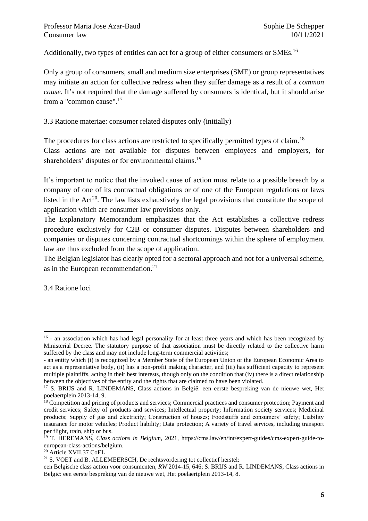Additionally, two types of entities can act for a group of either consumers or SMEs.<sup>16</sup>

Only a group of consumers, small and medium size enterprises (SME) or group representatives may initiate an action for collective redress when they suffer damage as a result of a *common cause*. It's not required that the damage suffered by consumers is identical, but it should arise from a "common cause".<sup>17</sup>

3.3 Ratione materiae: consumer related disputes only (initially)

The procedures for class actions are restricted to specifically permitted types of claim.<sup>18</sup> Class actions are not available for disputes between employees and employers, for shareholders' disputes or for environmental claims.<sup>19</sup>

It's important to notice that the invoked cause of action must relate to a possible breach by a company of one of its contractual obligations or of one of the European regulations or laws listed in the  $Act^{20}$ . The law lists exhaustively the legal provisions that constitute the scope of application which are consumer law provisions only.

The Explanatory Memorandum emphasizes that the Act establishes a collective redress procedure exclusively for C2B or consumer disputes. Disputes between shareholders and companies or disputes concerning contractual shortcomings within the sphere of employment law are thus excluded from the scope of application.

The Belgian legislator has clearly opted for a sectoral approach and not for a universal scheme, as in the European recommendation.<sup>21</sup>

3.4 Ratione loci

<sup>&</sup>lt;sup>16</sup> - an association which has had legal personality for at least three years and which has been recognized by Ministerial Decree. The statutory purpose of that association must be directly related to the collective harm suffered by the class and may not include long-term commercial activities;

<sup>-</sup> an entity which (i) is recognized by a Member State of the European Union or the European Economic Area to act as a representative body, (ii) has a non-profit making character, and (iii) has sufficient capacity to represent multiple plaintiffs, acting in their best interests, though only on the condition that (iv) there is a direct relationship between the objectives of the entity and the rights that are claimed to have been violated.

<sup>17</sup> S. BRIJS and R. LINDEMANS, Class actions in België: een eerste bespreking van de nieuwe wet, Het poelaertplein 2013-14, 9.

<sup>&</sup>lt;sup>18</sup> Competition and pricing of products and services; Commercial practices and consumer protection; Payment and credit services; Safety of products and services; Intellectual property; Information society services; Medicinal products; Supply of gas and electricity; Construction of houses; Foodstuffs and consumers' safety; Liability insurance for motor vehicles; Product liability; Data protection; A variety of travel services, including transport per flight, train, ship or bus.

<sup>19</sup> T. HEREMANS, *Class actions in Belgium,* 2021, https://cms.law/en/int/expert-guides/cms-expert-guide-toeuropean-class-actions/belgium.

<sup>20</sup> Article XVII.37 CoEL

 $21$  S. VOET and B. ALLEMEERSCH, De rechtsvordering tot collectief herstel:

een Belgische class action voor consumenten, *RW* 2014-15, 646; S. BRIJS and R. LINDEMANS, Class actions in België: een eerste bespreking van de nieuwe wet, Het poelaertplein 2013-14, 8.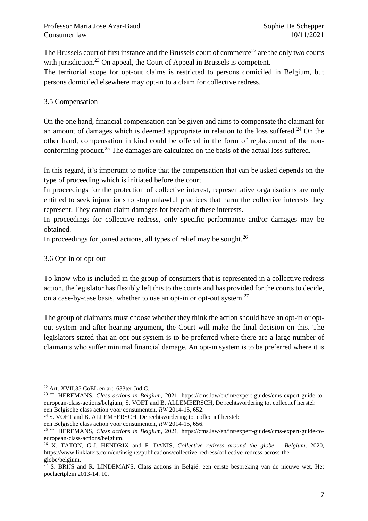The Brussels court of first instance and the Brussels court of commerce<sup>22</sup> are the only two courts with jurisdiction.<sup>23</sup> On appeal, the Court of Appeal in Brussels is competent.

The territorial scope for opt-out claims is restricted to persons domiciled in Belgium, but persons domiciled elsewhere may opt-in to a claim for collective redress.

## 3.5 Compensation

On the one hand, financial compensation can be given and aims to compensate the claimant for an amount of damages which is deemed appropriate in relation to the loss suffered.<sup>24</sup> On the other hand, compensation in kind could be offered in the form of replacement of the nonconforming product.<sup>25</sup> The damages are calculated on the basis of the actual loss suffered.

In this regard, it's important to notice that the compensation that can be asked depends on the type of proceeding which is initiated before the court.

In proceedings for the protection of collective interest, representative organisations are only entitled to seek injunctions to stop unlawful practices that harm the collective interests they represent. They cannot claim damages for breach of these interests.

In proceedings for collective redress, only specific performance and/or damages may be obtained.

In proceedings for joined actions, all types of relief may be sought.<sup>26</sup>

#### 3.6 Opt-in or opt-out

To know who is included in the group of consumers that is represented in a collective redress action, the legislator has flexibly left this to the courts and has provided for the courts to decide, on a case-by-case basis, whether to use an opt-in or opt-out system.<sup>27</sup>

The group of claimants must choose whether they think the action should have an opt-in or optout system and after hearing argument, the Court will make the final decision on this. The legislators stated that an opt-out system is to be preferred where there are a large number of claimants who suffer minimal financial damage. An opt-in system is to be preferred where it is

<sup>24</sup> S. VOET and B. ALLEMEERSCH, De rechtsvordering tot collectief herstel:

<sup>22</sup> Art. XVII.35 CoEL en art. 633ter Jud.C.

<sup>23</sup> T. HEREMANS, *Class actions in Belgium,* 2021, [https://cms.law/en/int/expert-guides/cms-expert-guide-to](https://cms.law/en/int/expert-guides/cms-expert-guide-to-european-class-actions/belgium)[european-class-actions/belgium;](https://cms.law/en/int/expert-guides/cms-expert-guide-to-european-class-actions/belgium) S. VOET and B. ALLEMEERSCH, De rechtsvordering tot collectief herstel: een Belgische class action voor consumenten, *RW* 2014-15, 652.

een Belgische class action voor consumenten, *RW* 2014-15, 656.

<sup>25</sup> T. HEREMANS, *Class actions in Belgium,* 2021, https://cms.law/en/int/expert-guides/cms-expert-guide-toeuropean-class-actions/belgium.

<sup>26</sup> X. TATON, G-J. HENDRIX and F. DANIS, *Collective redress around the globe – Belgium*, 2020, https://www.linklaters.com/en/insights/publications/collective-redress/collective-redress-across-theglobe/belgium.

 $27$  S. BRIJS and R. LINDEMANS, Class actions in België: een eerste bespreking van de nieuwe wet, Het poelaertplein 2013-14, 10.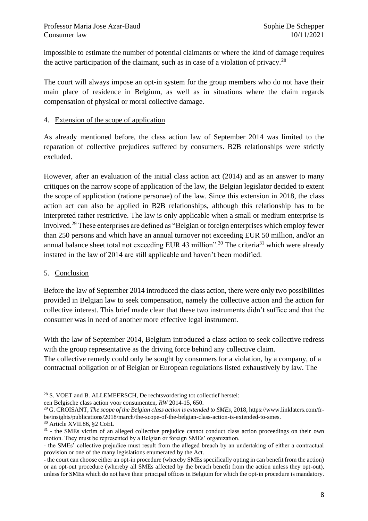impossible to estimate the number of potential claimants or where the kind of damage requires the active participation of the claimant, such as in case of a violation of privacy.<sup>28</sup>

The court will always impose an opt-in system for the group members who do not have their main place of residence in Belgium, as well as in situations where the claim regards compensation of physical or moral collective damage.

## 4. Extension of the scope of application

As already mentioned before, the class action law of September 2014 was limited to the reparation of collective prejudices suffered by consumers. B2B relationships were strictly excluded.

However, after an evaluation of the initial class action act (2014) and as an answer to many critiques on the narrow scope of application of the law, the Belgian legislator decided to extent the scope of application (ratione personae) of the law. Since this extension in 2018, the class action act can also be applied in B2B relationships, although this relationship has to be interpreted rather restrictive. The law is only applicable when a small or medium enterprise is involved.<sup>29</sup> These enterprises are defined as "Belgian or foreign enterprises which employ fewer than 250 persons and which have an annual turnover not exceeding EUR 50 million, and/or an annual balance sheet total not exceeding EUR 43 million".<sup>30</sup> The criteria<sup>31</sup> which were already instated in the law of 2014 are still applicable and haven't been modified.

# 5. Conclusion

Before the law of September 2014 introduced the class action, there were only two possibilities provided in Belgian law to seek compensation, namely the collective action and the action for collective interest. This brief made clear that these two instruments didn't suffice and that the consumer was in need of another more effective legal instrument.

With the law of September 2014, Belgium introduced a class action to seek collective redress with the group representative as the driving force behind any collective claim.

The collective remedy could only be sought by consumers for a violation, by a company, of a contractual obligation or of Belgian or European regulations listed exhaustively by law. The

<sup>28</sup> S. VOET and B. ALLEMEERSCH, De rechtsvordering tot collectief herstel:

een Belgische class action voor consumenten, *RW* 2014-15, 650.

<sup>&</sup>lt;sup>29</sup> G. CROISANT, *The scope of the Belgian class action is extended to SMEs*, 2018, https://www.linklaters.com/frbe/insights/publications/2018/march/the-scope-of-the-belgian-class-action-is-extended-to-smes. <sup>30</sup> Article XVII.86, §2 CoEL

<sup>&</sup>lt;sup>31</sup> - the SMEs victim of an alleged collective prejudice cannot conduct class action proceedings on their own motion. They must be represented by a Belgian or foreign SMEs' organization.

<sup>-</sup> the SMEs' collective prejudice must result from the alleged breach by an undertaking of either a contractual provision or one of the many legislations enumerated by the Act.

<sup>-</sup> the court can choose either an opt-in procedure (whereby SMEs specifically opting in can benefit from the action) or an opt-out procedure (whereby all SMEs affected by the breach benefit from the action unless they opt-out), unless for SMEs which do not have their principal offices in Belgium for which the opt-in procedure is mandatory.